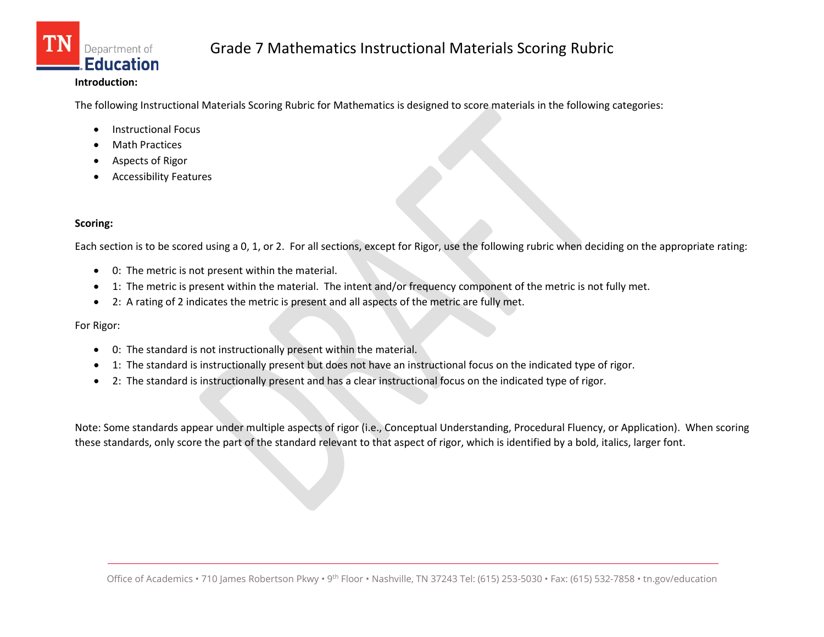

#### **Introduction:**

The following Instructional Materials Scoring Rubric for Mathematics is designed to score materials in the following categories:

- Instructional Focus
- **Math Practices**
- Aspects of Rigor
- Accessibility Features

#### **Scoring:**

Each section is to be scored using a 0, 1, or 2. For all sections, except for Rigor, use the following rubric when deciding on the appropriate rating:

- 0: The metric is not present within the material.
- 1: The metric is present within the material. The intent and/or frequency component of the metric is not fully met.
- 2: A rating of 2 indicates the metric is present and all aspects of the metric are fully met.

For Rigor:

- 0: The standard is not instructionally present within the material.
- 1: The standard is instructionally present but does not have an instructional focus on the indicated type of rigor.
- 2: The standard is instructionally present and has a clear instructional focus on the indicated type of rigor.

Note: Some standards appear under multiple aspects of rigor (i.e., Conceptual Understanding, Procedural Fluency, or Application). When scoring these standards, only score the part of the standard relevant to that aspect of rigor, which is identified by a bold, italics, larger font.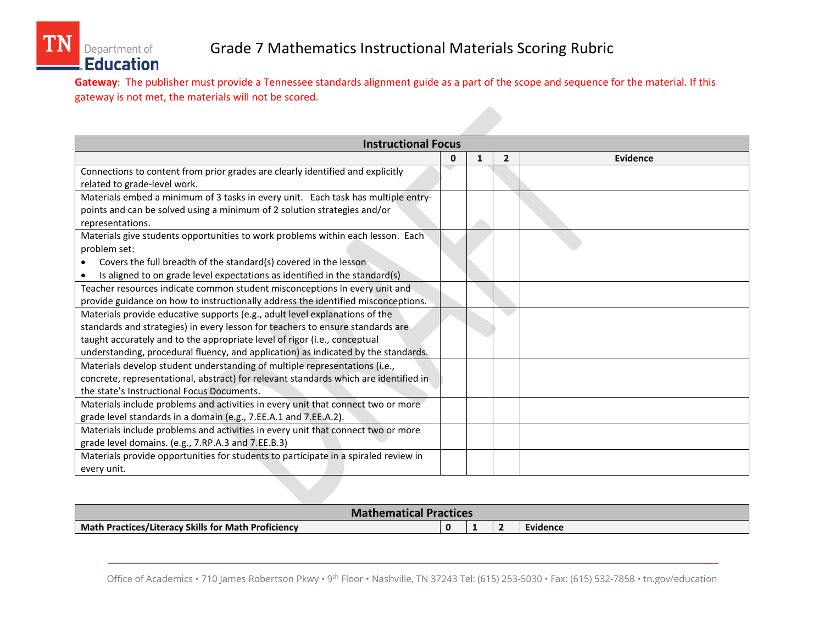**Gateway**: The publisher must provide a Tennessee standards alignment guide as a part of the scope and sequence for the material. If this gateway is not met, the materials will not be scored.

| <b>Instructional Focus</b>                                                           |   |   |                |                 |  |  |
|--------------------------------------------------------------------------------------|---|---|----------------|-----------------|--|--|
|                                                                                      | 0 | 1 | $\overline{2}$ | <b>Evidence</b> |  |  |
| Connections to content from prior grades are clearly identified and explicitly       |   |   |                |                 |  |  |
| related to grade-level work.                                                         |   |   |                |                 |  |  |
| Materials embed a minimum of 3 tasks in every unit. Each task has multiple entry-    |   |   |                |                 |  |  |
| points and can be solved using a minimum of 2 solution strategies and/or             |   |   |                |                 |  |  |
| representations.                                                                     |   |   |                |                 |  |  |
| Materials give students opportunities to work problems within each lesson. Each      |   |   |                |                 |  |  |
| problem set:                                                                         |   |   |                |                 |  |  |
| Covers the full breadth of the standard(s) covered in the lesson                     |   |   |                |                 |  |  |
| Is aligned to on grade level expectations as identified in the standard(s)           |   |   |                |                 |  |  |
| Teacher resources indicate common student misconceptions in every unit and           |   |   |                |                 |  |  |
| provide guidance on how to instructionally address the identified misconceptions.    |   |   |                |                 |  |  |
| Materials provide educative supports (e.g., adult level explanations of the          |   |   |                |                 |  |  |
| standards and strategies) in every lesson for teachers to ensure standards are       |   |   |                |                 |  |  |
| taught accurately and to the appropriate level of rigor (i.e., conceptual            |   |   |                |                 |  |  |
| understanding, procedural fluency, and application) as indicated by the standards.   |   |   |                |                 |  |  |
| Materials develop student understanding of multiple representations (i.e.,           |   |   |                |                 |  |  |
| concrete, representational, abstract) for relevant standards which are identified in |   |   |                |                 |  |  |
| the state's Instructional Focus Documents.                                           |   |   |                |                 |  |  |
| Materials include problems and activities in every unit that connect two or more     |   |   |                |                 |  |  |
| grade level standards in a domain (e.g., 7.EE.A.1 and 7.EE.A.2).                     |   |   |                |                 |  |  |
| Materials include problems and activities in every unit that connect two or more     |   |   |                |                 |  |  |
| grade level domains. (e.g., 7.RP.A.3 and 7.EE.B.3)                                   |   |   |                |                 |  |  |
| Materials provide opportunities for students to participate in a spiraled review in  |   |   |                |                 |  |  |
| every unit.                                                                          |   |   |                |                 |  |  |

| <b>Mathematical Practices</b>                       |  |  |  |          |  |  |
|-----------------------------------------------------|--|--|--|----------|--|--|
| Math Practices/Literacy Skills for Math Proficiency |  |  |  | Evidence |  |  |

Office of Academics • 710 James Robertson Pkwy • 9<sup>th</sup> Floor • Nashville, TN 37243 Tel: (615) 253-5030 • Fax: (615) 532-7858 • tn.gov/education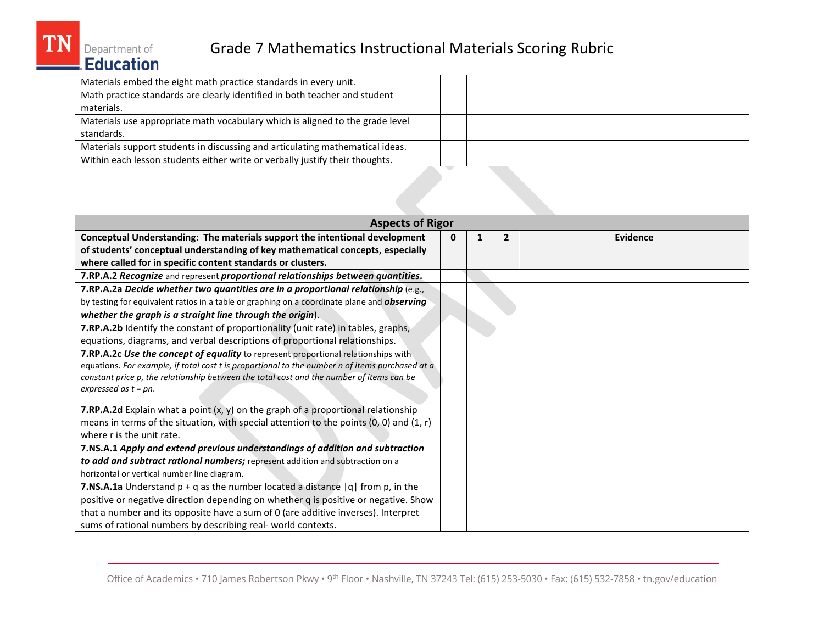| <b>Aspects of Rigor</b>                                                                                                                                                                                                                                                                                      |   |   |                |                 |  |  |  |
|--------------------------------------------------------------------------------------------------------------------------------------------------------------------------------------------------------------------------------------------------------------------------------------------------------------|---|---|----------------|-----------------|--|--|--|
| Conceptual Understanding: The materials support the intentional development                                                                                                                                                                                                                                  | 0 | 1 | $\overline{2}$ | <b>Evidence</b> |  |  |  |
| of students' conceptual understanding of key mathematical concepts, especially                                                                                                                                                                                                                               |   |   |                |                 |  |  |  |
| where called for in specific content standards or clusters.                                                                                                                                                                                                                                                  |   |   |                |                 |  |  |  |
| 7.RP.A.2 Recognize and represent proportional relationships between quantities.                                                                                                                                                                                                                              |   |   |                |                 |  |  |  |
| 7.RP.A.2a Decide whether two quantities are in a proportional relationship (e.g.,                                                                                                                                                                                                                            |   |   |                |                 |  |  |  |
| by testing for equivalent ratios in a table or graphing on a coordinate plane and observing                                                                                                                                                                                                                  |   |   |                |                 |  |  |  |
| whether the graph is a straight line through the origin).                                                                                                                                                                                                                                                    |   |   |                |                 |  |  |  |
| 7.RP.A.2b Identify the constant of proportionality (unit rate) in tables, graphs,                                                                                                                                                                                                                            |   |   |                |                 |  |  |  |
| equations, diagrams, and verbal descriptions of proportional relationships.                                                                                                                                                                                                                                  |   |   |                |                 |  |  |  |
| 7.RP.A.2c Use the concept of equality to represent proportional relationships with<br>equations. For example, if total cost t is proportional to the number n of items purchased at a<br>constant price p, the relationship between the total cost and the number of items can be<br>expressed as $t = pn$ . |   |   |                |                 |  |  |  |
| <b>7.RP.A.2d</b> Explain what a point $(x, y)$ on the graph of a proportional relationship                                                                                                                                                                                                                   |   |   |                |                 |  |  |  |
| means in terms of the situation, with special attention to the points $(0, 0)$ and $(1, r)$                                                                                                                                                                                                                  |   |   |                |                 |  |  |  |
| where r is the unit rate.                                                                                                                                                                                                                                                                                    |   |   |                |                 |  |  |  |
| 7.NS.A.1 Apply and extend previous understandings of addition and subtraction                                                                                                                                                                                                                                |   |   |                |                 |  |  |  |
| to add and subtract rational numbers; represent addition and subtraction on a                                                                                                                                                                                                                                |   |   |                |                 |  |  |  |
| horizontal or vertical number line diagram.                                                                                                                                                                                                                                                                  |   |   |                |                 |  |  |  |
| <b>7.NS.A.1a</b> Understand $p + q$ as the number located a distance $ q $ from p, in the                                                                                                                                                                                                                    |   |   |                |                 |  |  |  |
| positive or negative direction depending on whether q is positive or negative. Show                                                                                                                                                                                                                          |   |   |                |                 |  |  |  |
| that a number and its opposite have a sum of 0 (are additive inverses). Interpret                                                                                                                                                                                                                            |   |   |                |                 |  |  |  |
| sums of rational numbers by describing real- world contexts.                                                                                                                                                                                                                                                 |   |   |                |                 |  |  |  |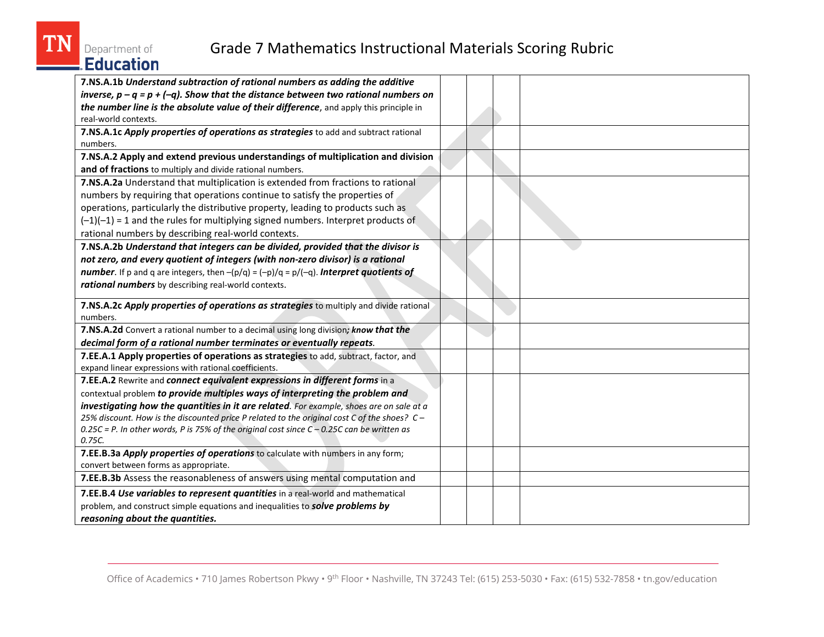| <b>Grade 7 Mathematics Instructional Materials Scoring Rubric</b><br>Department of<br><b>Education</b>                                                                                                                                                                                                                                                                                                                                                            |  |  |
|-------------------------------------------------------------------------------------------------------------------------------------------------------------------------------------------------------------------------------------------------------------------------------------------------------------------------------------------------------------------------------------------------------------------------------------------------------------------|--|--|
| 7.NS.A.1b Understand subtraction of rational numbers as adding the additive<br>inverse, $p - q = p + (-q)$ . Show that the distance between two rational numbers on<br>the number line is the absolute value of their difference, and apply this principle in<br>real-world contexts.                                                                                                                                                                             |  |  |
| 7.NS.A.1c Apply properties of operations as strategies to add and subtract rational<br>numbers.                                                                                                                                                                                                                                                                                                                                                                   |  |  |
| 7.NS.A.2 Apply and extend previous understandings of multiplication and division<br>and of fractions to multiply and divide rational numbers.                                                                                                                                                                                                                                                                                                                     |  |  |
| 7.NS.A.2a Understand that multiplication is extended from fractions to rational<br>numbers by requiring that operations continue to satisfy the properties of<br>operations, particularly the distributive property, leading to products such as<br>$(-1)(-1)$ = 1 and the rules for multiplying signed numbers. Interpret products of<br>rational numbers by describing real-world contexts.                                                                     |  |  |
| 7.NS.A.2b Understand that integers can be divided, provided that the divisor is<br>not zero, and every quotient of integers (with non-zero divisor) is a rational<br><b>number</b> . If p and q are integers, then $-(p/q) = (-p)/q = p/(-q)$ . <b>Interpret quotients of</b><br>rational numbers by describing real-world contexts.                                                                                                                              |  |  |
| 7.NS.A.2c Apply properties of operations as strategies to multiply and divide rational<br>numbers.                                                                                                                                                                                                                                                                                                                                                                |  |  |
| 7.NS.A.2d Convert a rational number to a decimal using long division; know that the<br>decimal form of a rational number terminates or eventually repeats.                                                                                                                                                                                                                                                                                                        |  |  |
| 7.EE.A.1 Apply properties of operations as strategies to add, subtract, factor, and<br>expand linear expressions with rational coefficients.                                                                                                                                                                                                                                                                                                                      |  |  |
| 7.EE.A.2 Rewrite and connect equivalent expressions in different forms in a<br>contextual problem to provide multiples ways of interpreting the problem and<br>investigating how the quantities in it are related. For example, shoes are on sale at a<br>25% discount. How is the discounted price P related to the original cost C of the shoes? C-<br>$0.25C$ = P. In other words, P is 75% of the original cost since $C$ - 0.25C can be written as<br>0.75C. |  |  |
| 7.EE.B.3a Apply properties of operations to calculate with numbers in any form;<br>convert between forms as appropriate.                                                                                                                                                                                                                                                                                                                                          |  |  |
| 7.EE.B.3b Assess the reasonableness of answers using mental computation and                                                                                                                                                                                                                                                                                                                                                                                       |  |  |
| 7.EE.B.4 Use variables to represent quantities in a real-world and mathematical<br>problem, and construct simple equations and inequalities to solve problems by<br>reasoning about the quantities.                                                                                                                                                                                                                                                               |  |  |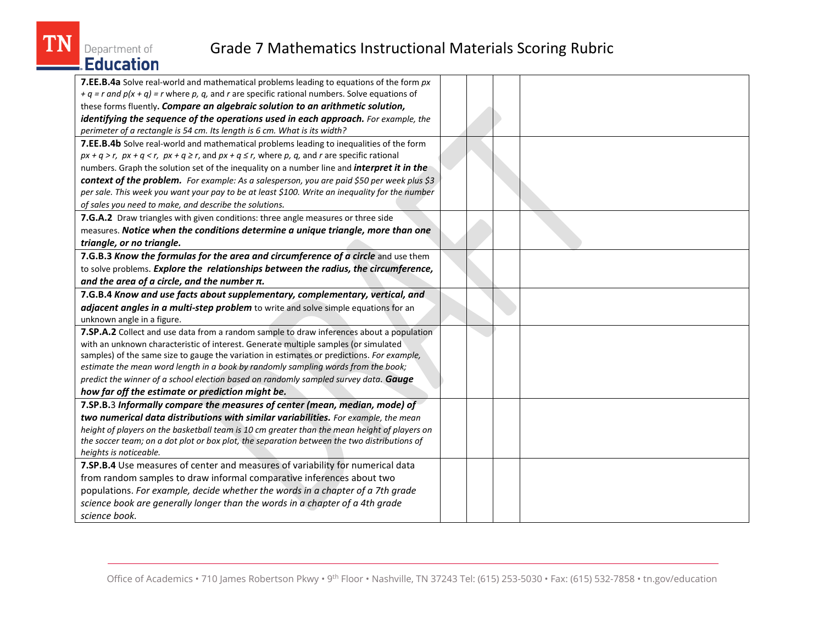

| 7.EE.B.4a Solve real-world and mathematical problems leading to equations of the form px                     |  |  |
|--------------------------------------------------------------------------------------------------------------|--|--|
| + $q$ = $r$ and $p(x + q)$ = $r$ where $p$ , $q$ , and $r$ are specific rational numbers. Solve equations of |  |  |
| these forms fluently. Compare an algebraic solution to an arithmetic solution,                               |  |  |
| identifying the sequence of the operations used in each approach. For example, the                           |  |  |
| perimeter of a rectangle is 54 cm. Its length is 6 cm. What is its width?                                    |  |  |
| 7.EE.B.4b Solve real-world and mathematical problems leading to inequalities of the form                     |  |  |
| $px + q > r$ , $px + q < r$ , $px + q \ge r$ , and $px + q \le r$ , where p, q, and r are specific rational  |  |  |
| numbers. Graph the solution set of the inequality on a number line and <i>interpret it in the</i>            |  |  |
| context of the problem. For example: As a salesperson, you are paid \$50 per week plus \$3                   |  |  |
| per sale. This week you want your pay to be at least \$100. Write an inequality for the number               |  |  |
| of sales you need to make, and describe the solutions.                                                       |  |  |
| 7.G.A.2 Draw triangles with given conditions: three angle measures or three side                             |  |  |
| measures. Notice when the conditions determine a unique triangle, more than one                              |  |  |
| triangle, or no triangle.                                                                                    |  |  |
| 7.G.B.3 Know the formulas for the area and circumference of a circle and use them                            |  |  |
| to solve problems. Explore the relationships between the radius, the circumference,                          |  |  |
| and the area of a circle, and the number $\pi$ .                                                             |  |  |
| 7.G.B.4 Know and use facts about supplementary, complementary, vertical, and                                 |  |  |
| adjacent angles in a multi-step problem to write and solve simple equations for an                           |  |  |
| unknown angle in a figure.                                                                                   |  |  |
| 7.SP.A.2 Collect and use data from a random sample to draw inferences about a population                     |  |  |
| with an unknown characteristic of interest. Generate multiple samples (or simulated                          |  |  |
| samples) of the same size to gauge the variation in estimates or predictions. For example,                   |  |  |
| estimate the mean word length in a book by randomly sampling words from the book;                            |  |  |
| predict the winner of a school election based on randomly sampled survey data. Gauge                         |  |  |
| how far off the estimate or prediction might be.                                                             |  |  |
| 7.SP.B.3 Informally compare the measures of center (mean, median, mode) of                                   |  |  |
| two numerical data distributions with similar variabilities. For example, the mean                           |  |  |
| height of players on the basketball team is 10 cm greater than the mean height of players on                 |  |  |
| the soccer team; on a dot plot or box plot, the separation between the two distributions of                  |  |  |
| heights is noticeable.                                                                                       |  |  |
| 7.SP.B.4 Use measures of center and measures of variability for numerical data                               |  |  |
| from random samples to draw informal comparative inferences about two                                        |  |  |
| populations. For example, decide whether the words in a chapter of a 7th grade                               |  |  |
| science book are generally longer than the words in a chapter of a 4th grade                                 |  |  |
| science book.                                                                                                |  |  |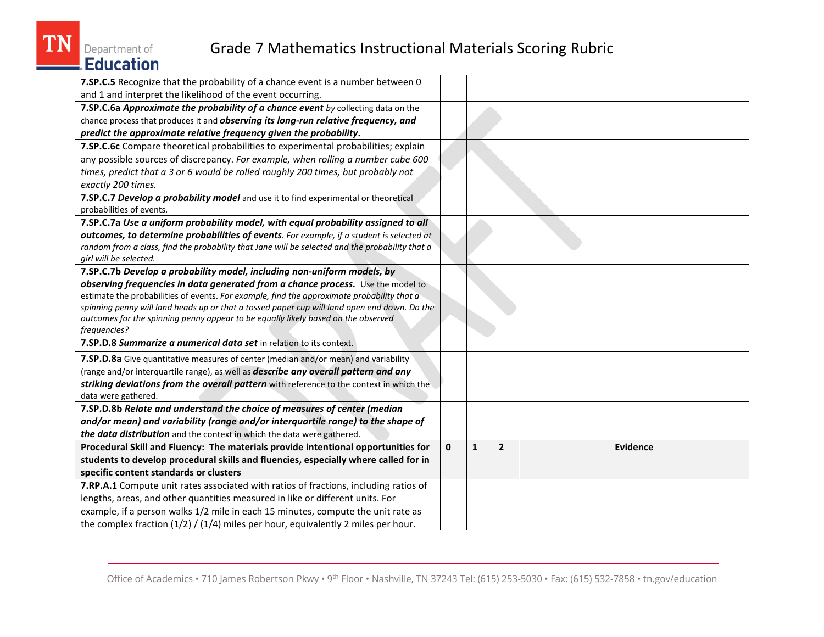Department of

| Education                                                                                                                                                                     |              |              |                |          |
|-------------------------------------------------------------------------------------------------------------------------------------------------------------------------------|--------------|--------------|----------------|----------|
| 7.SP.C.5 Recognize that the probability of a chance event is a number between 0                                                                                               |              |              |                |          |
| and 1 and interpret the likelihood of the event occurring.                                                                                                                    |              |              |                |          |
| 7.SP.C.6a Approximate the probability of a chance event by collecting data on the                                                                                             |              |              |                |          |
| chance process that produces it and observing its long-run relative frequency, and                                                                                            |              |              |                |          |
| predict the approximate relative frequency given the probability.                                                                                                             |              |              |                |          |
| 7.SP.C.6c Compare theoretical probabilities to experimental probabilities; explain                                                                                            |              |              |                |          |
| any possible sources of discrepancy. For example, when rolling a number cube 600                                                                                              |              |              |                |          |
| times, predict that a 3 or 6 would be rolled roughly 200 times, but probably not                                                                                              |              |              |                |          |
| exactly 200 times.                                                                                                                                                            |              |              |                |          |
| 7.SP.C.7 Develop a probability model and use it to find experimental or theoretical                                                                                           |              |              |                |          |
| probabilities of events.                                                                                                                                                      |              |              |                |          |
| 7.SP.C.7a Use a uniform probability model, with equal probability assigned to all                                                                                             |              |              |                |          |
| outcomes, to determine probabilities of events. For example, if a student is selected at                                                                                      |              |              |                |          |
| random from a class, find the probability that Jane will be selected and the probability that a                                                                               |              |              |                |          |
| girl will be selected.                                                                                                                                                        |              |              |                |          |
| 7.SP.C.7b Develop a probability model, including non-uniform models, by                                                                                                       |              |              |                |          |
| observing frequencies in data generated from a chance process. Use the model to<br>estimate the probabilities of events. For example, find the approximate probability that a |              |              |                |          |
| spinning penny will land heads up or that a tossed paper cup will land open end down. Do the                                                                                  |              |              |                |          |
| outcomes for the spinning penny appear to be equally likely based on the observed                                                                                             |              |              |                |          |
| frequencies?                                                                                                                                                                  |              |              |                |          |
| 7.SP.D.8 Summarize a numerical data set in relation to its context.                                                                                                           |              |              |                |          |
| 7.SP.D.8a Give quantitative measures of center (median and/or mean) and variability                                                                                           |              |              |                |          |
| (range and/or interquartile range), as well as describe any overall pattern and any                                                                                           |              |              |                |          |
| striking deviations from the overall pattern with reference to the context in which the                                                                                       |              |              |                |          |
| data were gathered.                                                                                                                                                           |              |              |                |          |
| 7.SP.D.8b Relate and understand the choice of measures of center (median                                                                                                      |              |              |                |          |
| and/or mean) and variability (range and/or interquartile range) to the shape of                                                                                               |              |              |                |          |
| the data distribution and the context in which the data were gathered.                                                                                                        |              |              |                |          |
| Procedural Skill and Fluency: The materials provide intentional opportunities for                                                                                             | $\mathbf{0}$ | $\mathbf{1}$ | $\overline{2}$ | Evidence |
| students to develop procedural skills and fluencies, especially where called for in                                                                                           |              |              |                |          |
| specific content standards or clusters                                                                                                                                        |              |              |                |          |
| 7.RP.A.1 Compute unit rates associated with ratios of fractions, including ratios of                                                                                          |              |              |                |          |
| lengths, areas, and other quantities measured in like or different units. For                                                                                                 |              |              |                |          |
| example, if a person walks 1/2 mile in each 15 minutes, compute the unit rate as                                                                                              |              |              |                |          |
| the complex fraction $(1/2) / (1/4)$ miles per hour, equivalently 2 miles per hour.                                                                                           |              |              |                |          |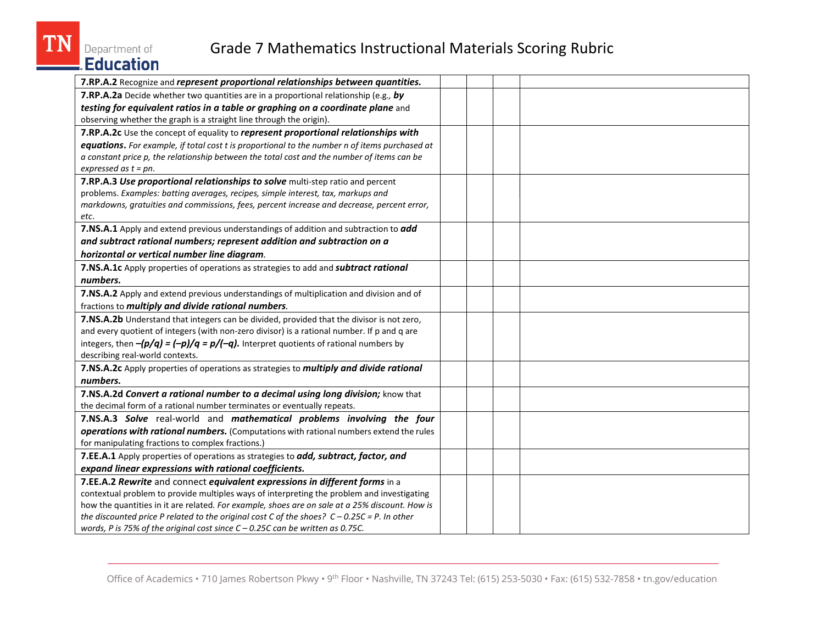**TN** 

| <b>Grade 7 Mathematics Instructional Materials Scoring Rubric</b><br>Department of                                                                                                                                                                                                                                    |  |
|-----------------------------------------------------------------------------------------------------------------------------------------------------------------------------------------------------------------------------------------------------------------------------------------------------------------------|--|
| E.Education                                                                                                                                                                                                                                                                                                           |  |
| 7.RP.A.2 Recognize and represent proportional relationships between quantities.                                                                                                                                                                                                                                       |  |
| 7.RP.A.2a Decide whether two quantities are in a proportional relationship (e.g., by<br>testing for equivalent ratios in a table or graphing on a coordinate plane and<br>observing whether the graph is a straight line through the origin).                                                                         |  |
| 7.RP.A.2c Use the concept of equality to represent proportional relationships with                                                                                                                                                                                                                                    |  |
| equations. For example, if total cost t is proportional to the number n of items purchased at<br>a constant price p, the relationship between the total cost and the number of items can be<br>expressed as $t = pn$ .                                                                                                |  |
| 7.RP.A.3 Use proportional relationships to solve multi-step ratio and percent<br>problems. Examples: batting averages, recipes, simple interest, tax, markups and<br>markdowns, gratuities and commissions, fees, percent increase and decrease, percent error,<br>etc.                                               |  |
| 7.NS.A.1 Apply and extend previous understandings of addition and subtraction to add                                                                                                                                                                                                                                  |  |
| and subtract rational numbers; represent addition and subtraction on a                                                                                                                                                                                                                                                |  |
| horizontal or vertical number line diagram.                                                                                                                                                                                                                                                                           |  |
| 7.NS.A.1c Apply properties of operations as strategies to add and subtract rational                                                                                                                                                                                                                                   |  |
| numbers.                                                                                                                                                                                                                                                                                                              |  |
| 7.NS.A.2 Apply and extend previous understandings of multiplication and division and of<br>fractions to multiply and divide rational numbers.                                                                                                                                                                         |  |
| 7.NS.A.2b Understand that integers can be divided, provided that the divisor is not zero,<br>and every quotient of integers (with non-zero divisor) is a rational number. If p and q are<br>integers, then $-(p/q) = (-p)/q = p/(-q)$ . Interpret quotients of rational numbers by<br>describing real-world contexts. |  |
| 7.NS.A.2c Apply properties of operations as strategies to multiply and divide rational                                                                                                                                                                                                                                |  |
| numbers.                                                                                                                                                                                                                                                                                                              |  |
| 7.NS.A.2d Convert a rational number to a decimal using long division; know that                                                                                                                                                                                                                                       |  |
| the decimal form of a rational number terminates or eventually repeats.                                                                                                                                                                                                                                               |  |
| 7.NS.A.3 Solve real-world and mathematical problems involving the four                                                                                                                                                                                                                                                |  |
| operations with rational numbers. (Computations with rational numbers extend the rules<br>for manipulating fractions to complex fractions.)                                                                                                                                                                           |  |
| 7.EE.A.1 Apply properties of operations as strategies to add, subtract, factor, and                                                                                                                                                                                                                                   |  |
| expand linear expressions with rational coefficients.                                                                                                                                                                                                                                                                 |  |
| 7.EE.A.2 Rewrite and connect equivalent expressions in different forms in a                                                                                                                                                                                                                                           |  |
| contextual problem to provide multiples ways of interpreting the problem and investigating                                                                                                                                                                                                                            |  |
| how the quantities in it are related. For example, shoes are on sale at a 25% discount. How is<br>the discounted price P related to the original cost C of the shoes? $C - 0.25C = P$ . In other<br>words, P is 75% of the original cost since $C - 0.25C$ can be written as 0.75C.                                   |  |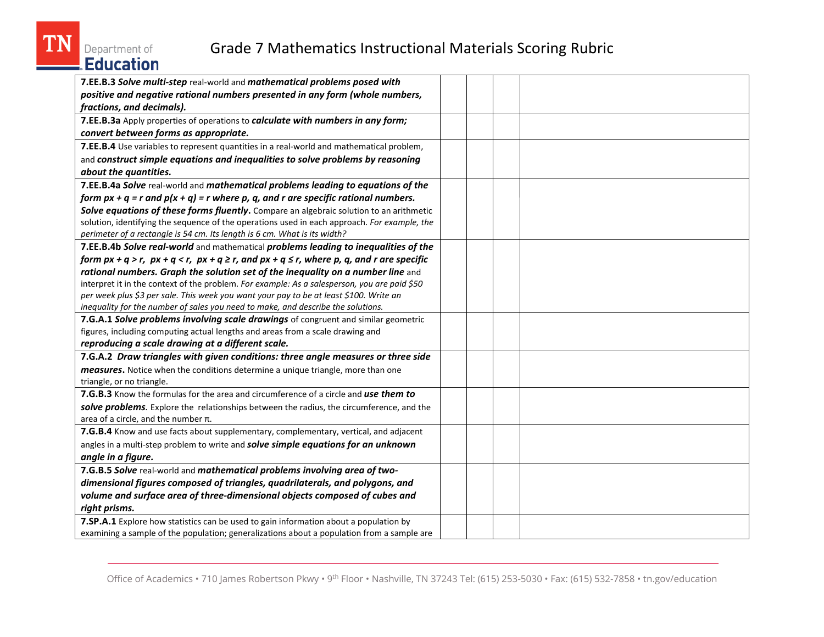| <b>Grade 7 Mathematics Instructional Materials Scoring Rubric</b><br>Department of<br>Education                                                                                                                                                                                                                                                                                                                                                                                                                                                                 |  |
|-----------------------------------------------------------------------------------------------------------------------------------------------------------------------------------------------------------------------------------------------------------------------------------------------------------------------------------------------------------------------------------------------------------------------------------------------------------------------------------------------------------------------------------------------------------------|--|
| 7.EE.B.3 Solve multi-step real-world and mathematical problems posed with<br>positive and negative rational numbers presented in any form (whole numbers,<br>fractions, and decimals).                                                                                                                                                                                                                                                                                                                                                                          |  |
| 7.EE.B.3a Apply properties of operations to calculate with numbers in any form;<br>convert between forms as appropriate.                                                                                                                                                                                                                                                                                                                                                                                                                                        |  |
| 7.EE.B.4 Use variables to represent quantities in a real-world and mathematical problem,<br>and construct simple equations and inequalities to solve problems by reasoning<br>about the quantities.                                                                                                                                                                                                                                                                                                                                                             |  |
| 7.EE.B.4a Solve real-world and mathematical problems leading to equations of the<br>form $px + q = r$ and $p(x + q) = r$ where p, q, and r are specific rational numbers.<br>Solve equations of these forms fluently. Compare an algebraic solution to an arithmetic<br>solution, identifying the sequence of the operations used in each approach. For example, the<br>perimeter of a rectangle is 54 cm. Its length is 6 cm. What is its width?                                                                                                               |  |
| 7.EE.B.4b Solve real-world and mathematical problems leading to inequalities of the<br>form $px + q > r$ , $px + q < r$ , $px + q \ge r$ , and $px + q \le r$ , where p, q, and r are specific<br>rational numbers. Graph the solution set of the inequality on a number line and<br>interpret it in the context of the problem. For example: As a salesperson, you are paid \$50<br>per week plus \$3 per sale. This week you want your pay to be at least \$100. Write an<br>inequality for the number of sales you need to make, and describe the solutions. |  |
| 7.G.A.1 Solve problems involving scale drawings of congruent and similar geometric<br>figures, including computing actual lengths and areas from a scale drawing and<br>reproducing a scale drawing at a different scale.                                                                                                                                                                                                                                                                                                                                       |  |
| 7.G.A.2 Draw triangles with given conditions: three angle measures or three side<br>measures. Notice when the conditions determine a unique triangle, more than one<br>triangle, or no triangle.                                                                                                                                                                                                                                                                                                                                                                |  |
| 7.G.B.3 Know the formulas for the area and circumference of a circle and use them to<br>solve problems. Explore the relationships between the radius, the circumference, and the<br>area of a circle, and the number $\pi$ .                                                                                                                                                                                                                                                                                                                                    |  |
| 7.G.B.4 Know and use facts about supplementary, complementary, vertical, and adjacent<br>angles in a multi-step problem to write and solve simple equations for an unknown<br>angle in a figure.                                                                                                                                                                                                                                                                                                                                                                |  |
| 7.G.B.5 Solve real-world and mathematical problems involving area of two-<br>dimensional figures composed of triangles, quadrilaterals, and polygons, and<br>volume and surface area of three-dimensional objects composed of cubes and<br>right prisms.                                                                                                                                                                                                                                                                                                        |  |
| 7.SP.A.1 Explore how statistics can be used to gain information about a population by<br>examining a sample of the population; generalizations about a population from a sample are                                                                                                                                                                                                                                                                                                                                                                             |  |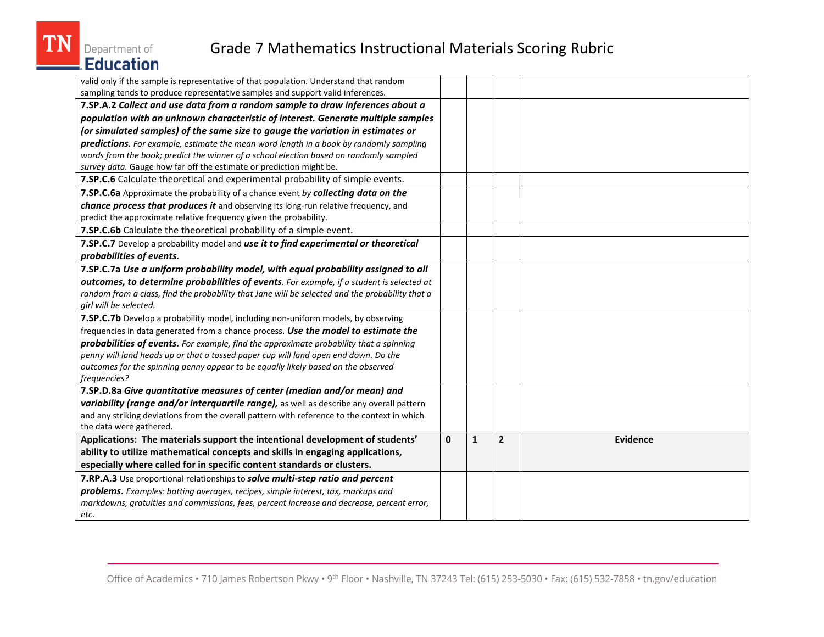

| valid only if the sample is representative of that population. Understand that random           |              |              |                |                 |
|-------------------------------------------------------------------------------------------------|--------------|--------------|----------------|-----------------|
| sampling tends to produce representative samples and support valid inferences.                  |              |              |                |                 |
| 7.SP.A.2 Collect and use data from a random sample to draw inferences about a                   |              |              |                |                 |
| population with an unknown characteristic of interest. Generate multiple samples                |              |              |                |                 |
| (or simulated samples) of the same size to gauge the variation in estimates or                  |              |              |                |                 |
| predictions. For example, estimate the mean word length in a book by randomly sampling          |              |              |                |                 |
| words from the book; predict the winner of a school election based on randomly sampled          |              |              |                |                 |
| survey data. Gauge how far off the estimate or prediction might be.                             |              |              |                |                 |
| 7.SP.C.6 Calculate theoretical and experimental probability of simple events.                   |              |              |                |                 |
| 7.SP.C.6a Approximate the probability of a chance event by collecting data on the               |              |              |                |                 |
| chance process that produces it and observing its long-run relative frequency, and              |              |              |                |                 |
| predict the approximate relative frequency given the probability.                               |              |              |                |                 |
| 7.SP.C.6b Calculate the theoretical probability of a simple event.                              |              |              |                |                 |
| 7.SP.C.7 Develop a probability model and use it to find experimental or theoretical             |              |              |                |                 |
| probabilities of events.                                                                        |              |              |                |                 |
| 7.SP.C.7a Use a uniform probability model, with equal probability assigned to all               |              |              |                |                 |
| outcomes, to determine probabilities of events. For example, if a student is selected at        |              |              |                |                 |
| random from a class, find the probability that Jane will be selected and the probability that a |              |              |                |                 |
| girl will be selected.                                                                          |              |              |                |                 |
| 7.SP.C.7b Develop a probability model, including non-uniform models, by observing               |              |              |                |                 |
| frequencies in data generated from a chance process. Use the model to estimate the              |              |              |                |                 |
| probabilities of events. For example, find the approximate probability that a spinning          |              |              |                |                 |
| penny will land heads up or that a tossed paper cup will land open end down. Do the             |              |              |                |                 |
| outcomes for the spinning penny appear to be equally likely based on the observed               |              |              |                |                 |
| frequencies?                                                                                    |              |              |                |                 |
| 7.SP.D.8a Give quantitative measures of center (median and/or mean) and                         |              |              |                |                 |
| variability (range and/or interquartile range), as well as describe any overall pattern         |              |              |                |                 |
| and any striking deviations from the overall pattern with reference to the context in which     |              |              |                |                 |
| the data were gathered.                                                                         |              |              |                |                 |
| Applications: The materials support the intentional development of students'                    | $\mathbf{0}$ | $\mathbf{1}$ | $\overline{2}$ | <b>Evidence</b> |
| ability to utilize mathematical concepts and skills in engaging applications,                   |              |              |                |                 |
| especially where called for in specific content standards or clusters.                          |              |              |                |                 |
| 7.RP.A.3 Use proportional relationships to solve multi-step ratio and percent                   |              |              |                |                 |
| problems. Examples: batting averages, recipes, simple interest, tax, markups and                |              |              |                |                 |
| markdowns, gratuities and commissions, fees, percent increase and decrease, percent error,      |              |              |                |                 |
| etc.                                                                                            |              |              |                |                 |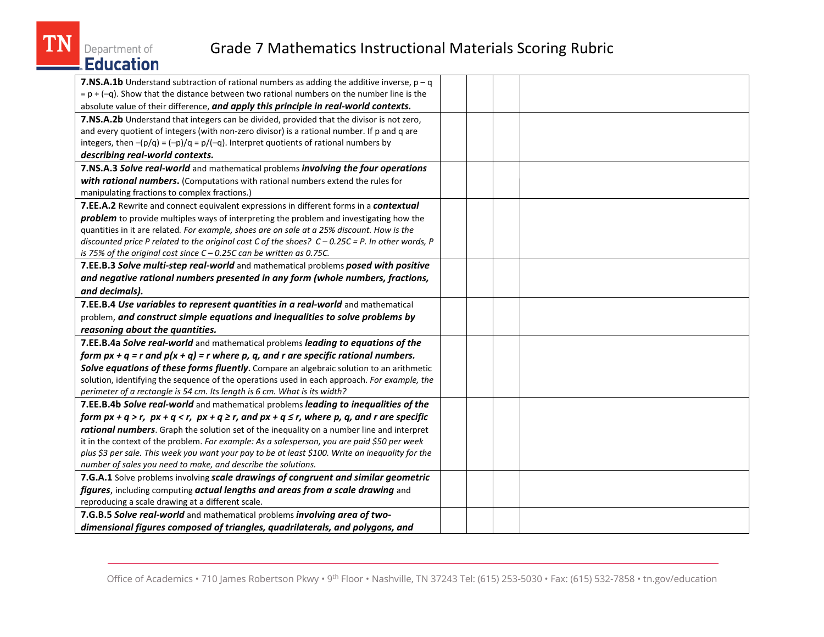

| <b>7.NS.A.1b</b> Understand subtraction of rational numbers as adding the additive inverse, $p - q$     |  |
|---------------------------------------------------------------------------------------------------------|--|
| $= p + (-q)$ . Show that the distance between two rational numbers on the number line is the            |  |
| absolute value of their difference, and apply this principle in real-world contexts.                    |  |
| 7.NS.A.2b Understand that integers can be divided, provided that the divisor is not zero,               |  |
| and every quotient of integers (with non-zero divisor) is a rational number. If p and q are             |  |
| integers, then $-(p/q) = (-p)/q = p/(-q)$ . Interpret quotients of rational numbers by                  |  |
| describing real-world contexts.                                                                         |  |
| 7.NS.A.3 Solve real-world and mathematical problems involving the four operations                       |  |
| with rational numbers. (Computations with rational numbers extend the rules for                         |  |
| manipulating fractions to complex fractions.)                                                           |  |
| 7.EE.A.2 Rewrite and connect equivalent expressions in different forms in a contextual                  |  |
| problem to provide multiples ways of interpreting the problem and investigating how the                 |  |
| quantities in it are related. For example, shoes are on sale at a 25% discount. How is the              |  |
| discounted price P related to the original cost C of the shoes? $C - 0.25C = P$ . In other words, P     |  |
| is 75% of the original cost since $C - 0.25C$ can be written as 0.75C.                                  |  |
| 7.EE.B.3 Solve multi-step real-world and mathematical problems posed with positive                      |  |
| and negative rational numbers presented in any form (whole numbers, fractions,                          |  |
| and decimals).                                                                                          |  |
| 7.EE.B.4 Use variables to represent quantities in a real-world and mathematical                         |  |
| problem, and construct simple equations and inequalities to solve problems by                           |  |
| reasoning about the quantities.                                                                         |  |
| 7.EE.B.4a Solve real-world and mathematical problems leading to equations of the                        |  |
| form $px + q = r$ and $p(x + q) = r$ where p, q, and r are specific rational numbers.                   |  |
| Solve equations of these forms fluently. Compare an algebraic solution to an arithmetic                 |  |
| solution, identifying the sequence of the operations used in each approach. For example, the            |  |
| perimeter of a rectangle is 54 cm. Its length is 6 cm. What is its width?                               |  |
| 7.EE.B.4b Solve real-world and mathematical problems leading to inequalities of the                     |  |
| form $px + q > r$ , $px + q < r$ , $px + q \ge r$ , and $px + q \le r$ , where p, q, and r are specific |  |
| rational numbers. Graph the solution set of the inequality on a number line and interpret               |  |
| it in the context of the problem. For example: As a salesperson, you are paid \$50 per week             |  |
| plus \$3 per sale. This week you want your pay to be at least \$100. Write an inequality for the        |  |
| number of sales you need to make, and describe the solutions.                                           |  |
| 7.G.A.1 Solve problems involving scale drawings of congruent and similar geometric                      |  |
| figures, including computing actual lengths and areas from a scale drawing and                          |  |
| reproducing a scale drawing at a different scale.                                                       |  |
| 7.G.B.5 Solve real-world and mathematical problems involving area of two-                               |  |
| dimensional figures composed of triangles, quadrilaterals, and polygons, and                            |  |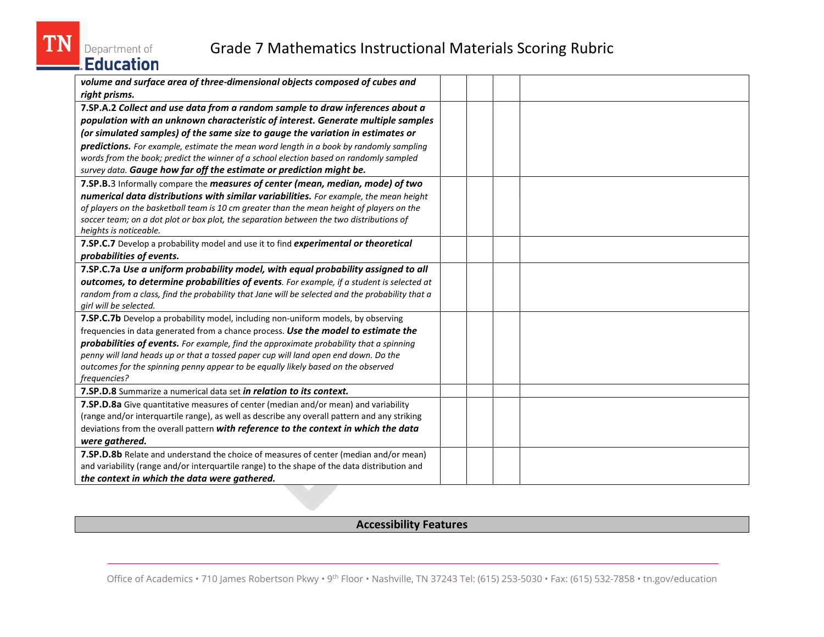

| volume and surface area of three-dimensional objects composed of cubes and                      |  |  |
|-------------------------------------------------------------------------------------------------|--|--|
| right prisms.                                                                                   |  |  |
| 7.SP.A.2 Collect and use data from a random sample to draw inferences about a                   |  |  |
| population with an unknown characteristic of interest. Generate multiple samples                |  |  |
| (or simulated samples) of the same size to gauge the variation in estimates or                  |  |  |
| predictions. For example, estimate the mean word length in a book by randomly sampling          |  |  |
| words from the book; predict the winner of a school election based on randomly sampled          |  |  |
| survey data. Gauge how far off the estimate or prediction might be.                             |  |  |
| 7.SP.B.3 Informally compare the measures of center (mean, median, mode) of two                  |  |  |
| numerical data distributions with similar variabilities. For example, the mean height           |  |  |
| of players on the basketball team is 10 cm greater than the mean height of players on the       |  |  |
| soccer team; on a dot plot or box plot, the separation between the two distributions of         |  |  |
| heights is noticeable.                                                                          |  |  |
| 7.SP.C.7 Develop a probability model and use it to find experimental or theoretical             |  |  |
| probabilities of events.                                                                        |  |  |
| 7.SP.C.7a Use a uniform probability model, with equal probability assigned to all               |  |  |
| outcomes, to determine probabilities of events. For example, if a student is selected at        |  |  |
| random from a class, find the probability that Jane will be selected and the probability that a |  |  |
| girl will be selected.                                                                          |  |  |
| 7.SP.C.7b Develop a probability model, including non-uniform models, by observing               |  |  |
| frequencies in data generated from a chance process. Use the model to estimate the              |  |  |
| probabilities of events. For example, find the approximate probability that a spinning          |  |  |
| penny will land heads up or that a tossed paper cup will land open end down. Do the             |  |  |
| outcomes for the spinning penny appear to be equally likely based on the observed               |  |  |
| frequencies?                                                                                    |  |  |
| 7.SP.D.8 Summarize a numerical data set in relation to its context.                             |  |  |
| 7.SP.D.8a Give quantitative measures of center (median and/or mean) and variability             |  |  |
| (range and/or interquartile range), as well as describe any overall pattern and any striking    |  |  |
| deviations from the overall pattern with reference to the context in which the data             |  |  |
| were gathered.                                                                                  |  |  |
| 7.SP.D.8b Relate and understand the choice of measures of center (median and/or mean)           |  |  |
| and variability (range and/or interquartile range) to the shape of the data distribution and    |  |  |
| the context in which the data were gathered.                                                    |  |  |

#### **Accessibility Features**